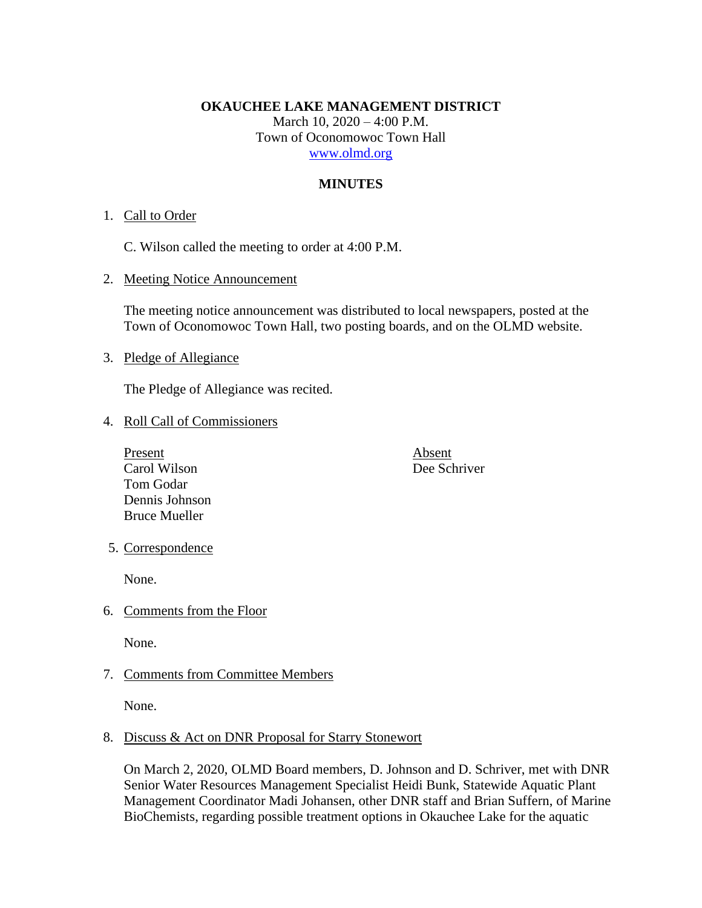### **OKAUCHEE LAKE MANAGEMENT DISTRICT**

March 10, 2020 – 4:00 P.M. Town of Oconomowoc Town Hall [www.olmd.org](http://www.olmd.org/)

# **MINUTES**

# 1. Call to Order

C. Wilson called the meeting to order at 4:00 P.M.

2. Meeting Notice Announcement

The meeting notice announcement was distributed to local newspapers, posted at the Town of Oconomowoc Town Hall, two posting boards, and on the OLMD website.

# 3. Pledge of Allegiance

The Pledge of Allegiance was recited.

### 4. Roll Call of Commissioners

Present Absent Carol Wilson Dee Schriver Tom Godar Dennis Johnson Bruce Mueller

### 5. Correspondence

None.

6. Comments from the Floor

None.

7. Comments from Committee Members

None.

# 8. Discuss & Act on DNR Proposal for Starry Stonewort

On March 2, 2020, OLMD Board members, D. Johnson and D. Schriver, met with DNR Senior Water Resources Management Specialist Heidi Bunk, Statewide Aquatic Plant Management Coordinator Madi Johansen, other DNR staff and Brian Suffern, of Marine BioChemists, regarding possible treatment options in Okauchee Lake for the aquatic